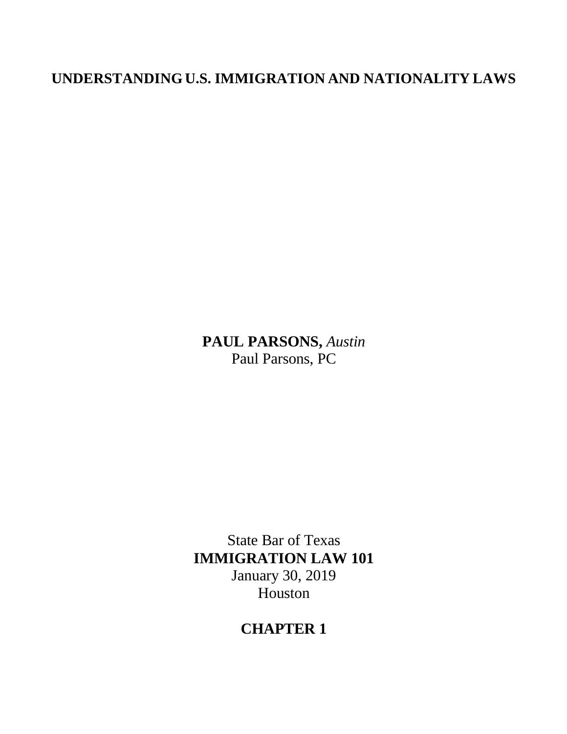# **UNDERSTANDING U.S. IMMIGRATION AND NATIONALITY LAWS**

**PAUL PARSONS,** *Austin* Paul Parsons, PC

State Bar of Texas **IMMIGRATION LAW 101** January 30, 2019 Houston

# **CHAPTER 1**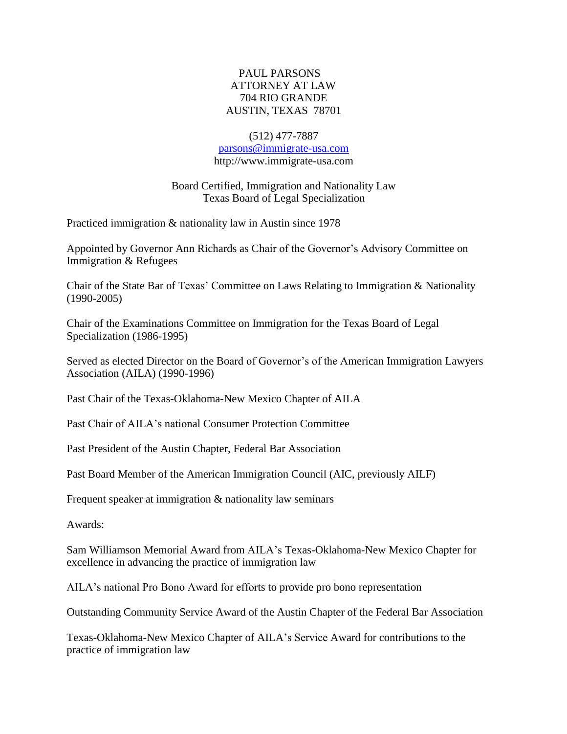# PAUL PARSONS ATTORNEY AT LAW 704 RIO GRANDE AUSTIN, TEXAS 78701

#### (512) 477-7887

## [parsons@immigrate-usa.com](mailto:parsons@immigrate-usa.com) [http://www.immigrate-usa.com](http://www.immigrate-usa.com/)

# Board Certified, Immigration and Nationality Law Texas Board of Legal Specialization

Practiced immigration & nationality law in Austin since 1978

Appointed by Governor Ann Richards as Chair of the Governor's Advisory Committee on Immigration & Refugees

Chair of the State Bar of Texas' Committee on Laws Relating to Immigration  $\&$  Nationality (1990-2005)

Chair of the Examinations Committee on Immigration for the Texas Board of Legal Specialization (1986-1995)

Served as elected Director on the Board of Governor's of the American Immigration Lawyers Association (AILA) (1990-1996)

Past Chair of the Texas-Oklahoma-New Mexico Chapter of AILA

Past Chair of AILA's national Consumer Protection Committee

Past President of the Austin Chapter, Federal Bar Association

Past Board Member of the American Immigration Council (AIC, previously AILF)

Frequent speaker at immigration & nationality law seminars

Awards:

Sam Williamson Memorial Award from AILA's Texas-Oklahoma-New Mexico Chapter for excellence in advancing the practice of immigration law

AILA's national Pro Bono Award for efforts to provide pro bono representation

Outstanding Community Service Award of the Austin Chapter of the Federal Bar Association

Texas-Oklahoma-New Mexico Chapter of AILA's Service Award for contributions to the practice of immigration law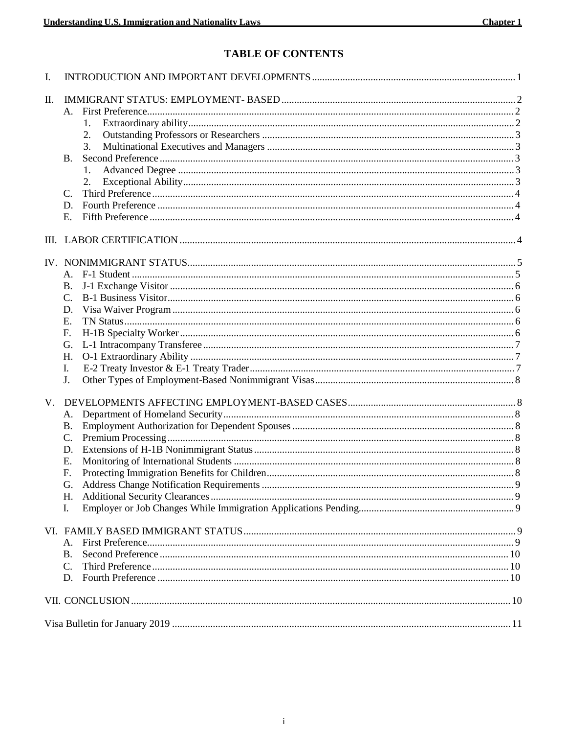# TABLE OF CONTENTS

| I.          |                 |    |  |
|-------------|-----------------|----|--|
| П.          |                 |    |  |
|             |                 |    |  |
|             |                 | 1. |  |
|             |                 | 2. |  |
|             |                 | 3. |  |
|             | <b>B.</b>       |    |  |
|             |                 | 1. |  |
|             |                 | 2. |  |
|             | C.              |    |  |
|             | D.              |    |  |
|             | Ε.              |    |  |
|             |                 |    |  |
|             |                 |    |  |
|             |                 |    |  |
|             |                 |    |  |
|             | Β.              |    |  |
|             | $\mathcal{C}$ . |    |  |
|             | D.              |    |  |
|             | E.              |    |  |
|             | F.              |    |  |
|             | G.              |    |  |
|             | H.              |    |  |
|             | L.              |    |  |
|             | J.              |    |  |
|             |                 |    |  |
| $V_{\cdot}$ |                 |    |  |
|             | A.              |    |  |
|             | <b>B.</b>       |    |  |
|             | $\mathcal{C}$ . |    |  |
|             | D.              |    |  |
|             | Е.              |    |  |
|             | F.              |    |  |
|             | G.              |    |  |
|             | Н.              |    |  |
|             | I.              |    |  |
|             |                 |    |  |
|             | А.              |    |  |
|             | <b>B.</b>       |    |  |
|             | C.              |    |  |
|             | D.              |    |  |
|             |                 |    |  |
|             |                 |    |  |
|             |                 |    |  |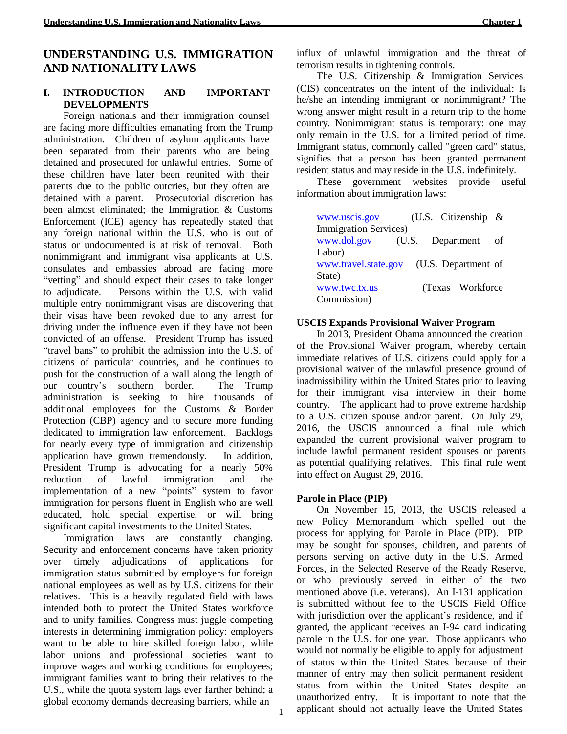# **UNDERSTANDING U.S. IMMIGRATION AND NATIONALITY LAWS**

## **I. INTRODUCTION AND IMPORTANT DEVELOPMENTS**

Foreign nationals and their immigration counsel are facing more difficulties emanating from the Trump administration. Children of asylum applicants have been separated from their parents who are being detained and prosecuted for unlawful entries. Some of these children have later been reunited with their parents due to the public outcries, but they often are detained with a parent. Prosecutorial discretion has been almost eliminated; the Immigration & Customs Enforcement (ICE) agency has repeatedly stated that any foreign national within the U.S. who is out of status or undocumented is at risk of removal. Both nonimmigrant and immigrant visa applicants at U.S. consulates and embassies abroad are facing more "vetting" and should expect their cases to take longer to adjudicate. Persons within the U.S. with valid multiple entry nonimmigrant visas are discovering that their visas have been revoked due to any arrest for driving under the influence even if they have not been convicted of an offense. President Trump has issued "travel bans" to prohibit the admission into the U.S. of citizens of particular countries, and he continues to push for the construction of a wall along the length of our country's southern border. The Trump administration is seeking to hire thousands of additional employees for the Customs & Border Protection (CBP) agency and to secure more funding dedicated to immigration law enforcement. Backlogs for nearly every type of immigration and citizenship application have grown tremendously. In addition, President Trump is advocating for a nearly 50% reduction of lawful immigration and the implementation of a new "points" system to favor immigration for persons fluent in English who are well educated, hold special expertise, or will bring significant capital investments to the United States.

Immigration laws are constantly changing. Security and enforcement concerns have taken priority over timely adjudications of applications for immigration status submitted by employers for foreign national employees as well as by U.S. citizens for their relatives. This is a heavily regulated field with laws intended both to protect the United States workforce and to unify families. Congress must juggle competing interests in determining immigration policy: employers want to be able to hire skilled foreign labor, while labor unions and professional societies want to improve wages and working conditions for employees; immigrant families want to bring their relatives to the U.S., while the quota system lags ever farther behind; a global economy demands decreasing barriers, while an

influx of unlawful immigration and the threat of terrorism results in tightening controls.

The U.S. Citizenship & Immigration Services (CIS) concentrates on the intent of the individual: Is he/she an intending immigrant or nonimmigrant? The wrong answer might result in a return trip to the home country. Nonimmigrant status is temporary: one may only remain in the U.S. for a limited period of time. Immigrant status, commonly called "green card" status, signifies that a person has been granted permanent resident status and may reside in the U.S. indefinitely.

These government websites provide useful information about immigration laws:

| www.uscis.gov                 |                  | (U.S. Citizenship $\&$ |    |
|-------------------------------|------------------|------------------------|----|
| <b>Immigration Services</b> ) |                  |                        |    |
| www.dol.gov                   | (U.S. Department |                        | οf |
| Labor)                        |                  |                        |    |
| www.travel.state.gov          |                  | (U.S. Department of    |    |
| State)                        |                  |                        |    |
| www.twc.tx.us                 |                  | (Texas Workforce)      |    |
| Commission)                   |                  |                        |    |

#### **USCIS Expands Provisional Waiver Program**

In 2013, President Obama announced the creation of the Provisional Waiver program, whereby certain immediate relatives of U.S. citizens could apply for a provisional waiver of the unlawful presence ground of inadmissibility within the United States prior to leaving for their immigrant visa interview in their home country. The applicant had to prove extreme hardship to a U.S. citizen spouse and/or parent. On July 29, 2016, the USCIS announced a final rule which expanded the current provisional waiver program to include lawful permanent resident spouses or parents as potential qualifying relatives. This final rule went into effect on August 29, 2016.

#### **Parole in Place (PIP)**

On November 15, 2013, the USCIS released a new Policy Memorandum which spelled out the process for applying for Parole in Place (PIP). PIP may be sought for spouses, children, and parents of persons serving on active duty in the U.S. Armed Forces, in the Selected Reserve of the Ready Reserve, or who previously served in either of the two mentioned above (i.e. veterans). An I-131 application is submitted without fee to the USCIS Field Office with jurisdiction over the applicant's residence, and if granted, the applicant receives an I-94 card indicating parole in the U.S. for one year. Those applicants who would not normally be eligible to apply for adjustment of status within the United States because of their manner of entry may then solicit permanent resident status from within the United States despite an unauthorized entry. It is important to note that the applicant should not actually leave the United States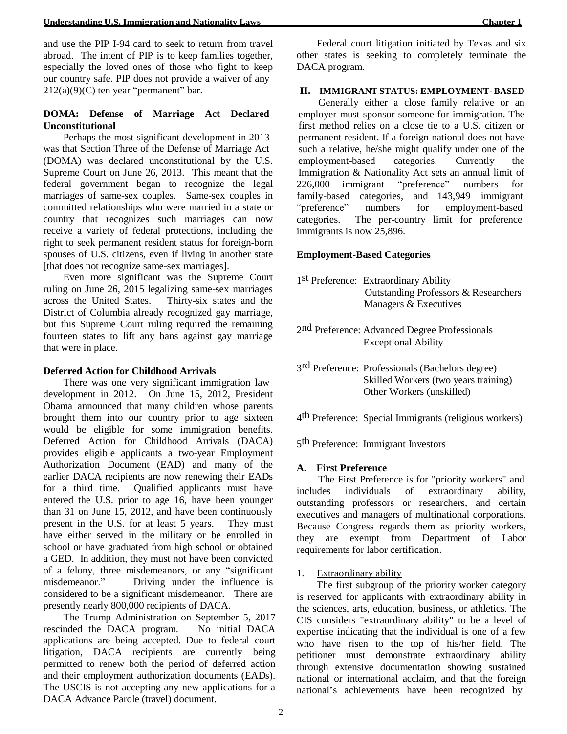## **DOMA: Defense of Marriage Act Declared Unconstitutional**

Perhaps the most significant development in 2013 was that Section Three of the Defense of Marriage Act (DOMA) was declared unconstitutional by the U.S. Supreme Court on June 26, 2013. This meant that the federal government began to recognize the legal marriages of same-sex couples. Same-sex couples in committed relationships who were married in a state or country that recognizes such marriages can now receive a variety of federal protections, including the right to seek permanent resident status for foreign-born spouses of U.S. citizens, even if living in another state [that does not recognize same-sex marriages].

Even more significant was the Supreme Court ruling on June 26, 2015 legalizing same-sex marriages across the United States. Thirty-six states and the District of Columbia already recognized gay marriage, but this Supreme Court ruling required the remaining fourteen states to lift any bans against gay marriage that were in place.

#### **Deferred Action for Childhood Arrivals**

There was one very significant immigration law development in 2012. On June 15, 2012, President Obama announced that many children whose parents brought them into our country prior to age sixteen would be eligible for some immigration benefits. Deferred Action for Childhood Arrivals (DACA) provides eligible applicants a two-year Employment Authorization Document (EAD) and many of the earlier DACA recipients are now renewing their EADs for a third time. Qualified applicants must have entered the U.S. prior to age 16, have been younger than 31 on June 15, 2012, and have been continuously present in the U.S. for at least 5 years. They must have either served in the military or be enrolled in school or have graduated from high school or obtained a GED. In addition, they must not have been convicted of a felony, three misdemeanors, or any "significant misdemeanor." Driving under the influence is considered to be a significant misdemeanor. There are presently nearly 800,000 recipients of DACA.

The Trump Administration on September 5, 2017 rescinded the DACA program. No initial DACA applications are being accepted. Due to federal court litigation, DACA recipients are currently being permitted to renew both the period of deferred action and their employment authorization documents (EADs). The USCIS is not accepting any new applications for a DACA Advance Parole (travel) document.

Federal court litigation initiated by Texas and six other states is seeking to completely terminate the DACA program.

#### **II. IMMIGRANT STATUS: EMPLOYMENT- BASED**

Generally either a close family relative or an employer must sponsor someone for immigration. The first method relies on a close tie to a U.S. citizen or permanent resident. If a foreign national does not have such a relative, he/she might qualify under one of the employment-based categories. Currently the Immigration & Nationality Act sets an annual limit of 226,000 immigrant "preference" numbers for family-based categories, and 143,949 immigrant "preference" numbers for employment-based categories. The per-country limit for preference immigrants is now 25,896.

## **Employment-Based Categories**

- 1 st Preference: Extraordinary Ability Outstanding Professors & Researchers Managers & Executives
- 2 nd Preference: Advanced Degree Professionals Exceptional Ability
- 3 rd Preference: Professionals (Bachelors degree) Skilled Workers (two years training) Other Workers (unskilled)
- 4<sup>th</sup> Preference: Special Immigrants (religious workers)
- 5<sup>th</sup> Preference: Immigrant Investors

## **A. First Preference**

The First Preference is for "priority workers" and includes individuals of extraordinary ability, outstanding professors or researchers, and certain executives and managers of multinational corporations. Because Congress regards them as priority workers, they are exempt from Department of Labor requirements for labor certification.

## 1. Extraordinary ability

The first subgroup of the priority worker category is reserved for applicants with extraordinary ability in the sciences, arts, education, business, or athletics. The CIS considers "extraordinary ability" to be a level of expertise indicating that the individual is one of a few who have risen to the top of his/her field. The petitioner must demonstrate extraordinary ability through extensive documentation showing sustained national or international acclaim, and that the foreign national's achievements have been recognized by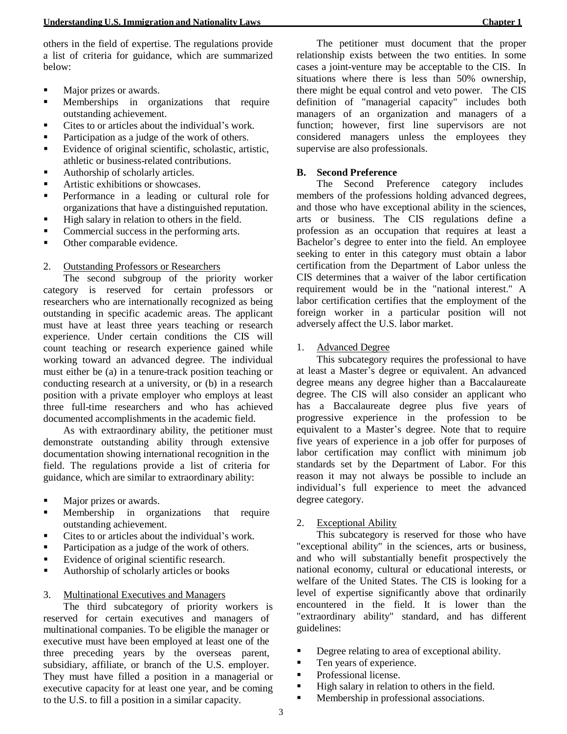others in the field of expertise. The regulations provide a list of criteria for guidance, which are summarized below:

- Major prizes or awards.
- **EXECUTE:** Memberships in organizations that require outstanding achievement.
- Cites to or articles about the individual's work.
- Participation as a judge of the work of others.
- Evidence of original scientific, scholastic, artistic, athletic or business-related contributions.
- Authorship of scholarly articles.
- Artistic exhibitions or showcases.
- Performance in a leading or cultural role for organizations that have a distinguished reputation.
- High salary in relation to others in the field.
- Commercial success in the performing arts.
- Other comparable evidence.

#### 2. Outstanding Professors or Researchers

The second subgroup of the priority worker category is reserved for certain professors or researchers who are internationally recognized as being outstanding in specific academic areas. The applicant must have at least three years teaching or research experience. Under certain conditions the CIS will count teaching or research experience gained while working toward an advanced degree. The individual must either be (a) in a tenure-track position teaching or conducting research at a university, or (b) in a research position with a private employer who employs at least three full-time researchers and who has achieved documented accomplishments in the academic field.

As with extraordinary ability, the petitioner must demonstrate outstanding ability through extensive documentation showing international recognition in the field. The regulations provide a list of criteria for guidance, which are similar to extraordinary ability:

- Major prizes or awards.
- **EXECUTE:** Membership in organizations that require outstanding achievement.
- Cites to or articles about the individual's work.
- Participation as a judge of the work of others.
- Evidence of original scientific research.
- Authorship of scholarly articles or books

#### 3. Multinational Executives and Managers

The third subcategory of priority workers is reserved for certain executives and managers of multinational companies. To be eligible the manager or executive must have been employed at least one of the three preceding years by the overseas parent, subsidiary, affiliate, or branch of the U.S. employer. They must have filled a position in a managerial or executive capacity for at least one year, and be coming to the U.S. to fill a position in a similar capacity.

The petitioner must document that the proper relationship exists between the two entities. In some cases a joint-venture may be acceptable to the CIS. In situations where there is less than 50% ownership, there might be equal control and veto power. The CIS definition of "managerial capacity" includes both managers of an organization and managers of a function; however, first line supervisors are not considered managers unless the employees they supervise are also professionals.

#### **B. Second Preference**

The Second Preference category includes members of the professions holding advanced degrees, and those who have exceptional ability in the sciences, arts or business. The CIS regulations define a profession as an occupation that requires at least a Bachelor's degree to enter into the field. An employee seeking to enter in this category must obtain a labor certification from the Department of Labor unless the CIS determines that a waiver of the labor certification requirement would be in the "national interest." A labor certification certifies that the employment of the foreign worker in a particular position will not adversely affect the U.S. labor market.

#### 1. Advanced Degree

This subcategory requires the professional to have at least a Master's degree or equivalent. An advanced degree means any degree higher than a Baccalaureate degree. The CIS will also consider an applicant who has a Baccalaureate degree plus five years of progressive experience in the profession to be equivalent to a Master's degree. Note that to require five years of experience in a job offer for purposes of labor certification may conflict with minimum job standards set by the Department of Labor. For this reason it may not always be possible to include an individual's full experience to meet the advanced degree category.

## 2. Exceptional Ability

This subcategory is reserved for those who have "exceptional ability" in the sciences, arts or business, and who will substantially benefit prospectively the national economy, cultural or educational interests, or welfare of the United States. The CIS is looking for a level of expertise significantly above that ordinarily encountered in the field. It is lower than the "extraordinary ability" standard, and has different guidelines:

- **•** Degree relating to area of exceptional ability.
- Ten years of experience.
- Professional license.
- High salary in relation to others in the field.
- Membership in professional associations.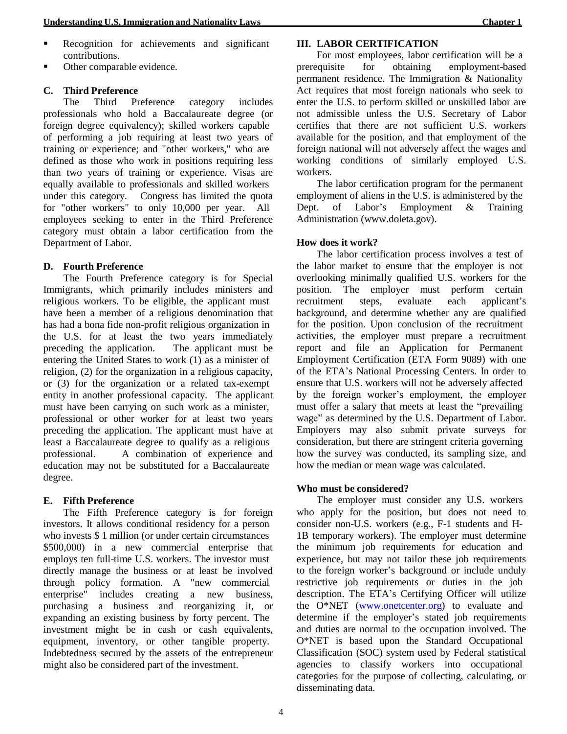- Recognition for achievements and significant contributions.
- Other comparable evidence.

#### **C. Third Preference**

The Third Preference category includes professionals who hold a Baccalaureate degree (or foreign degree equivalency); skilled workers capable of performing a job requiring at least two years of training or experience; and "other workers," who are defined as those who work in positions requiring less than two years of training or experience. Visas are equally available to professionals and skilled workers under this category. Congress has limited the quota for "other workers" to only 10,000 per year. All employees seeking to enter in the Third Preference category must obtain a labor certification from the Department of Labor.

#### **D. Fourth Preference**

The Fourth Preference category is for Special Immigrants, which primarily includes ministers and religious workers. To be eligible, the applicant must have been a member of a religious denomination that has had a bona fide non-profit religious organization in the U.S. for at least the two years immediately preceding the application. The applicant must be entering the United States to work (1) as a minister of religion, (2) for the organization in a religious capacity, or (3) for the organization or a related tax-exempt entity in another professional capacity. The applicant must have been carrying on such work as a minister, professional or other worker for at least two years preceding the application. The applicant must have at least a Baccalaureate degree to qualify as a religious professional. A combination of experience and education may not be substituted for a Baccalaureate degree.

#### **E. Fifth Preference**

The Fifth Preference category is for foreign investors. It allows conditional residency for a person who invests \$1 million (or under certain circumstances \$500,000) in a new commercial enterprise that employs ten full-time U.S. workers. The investor must directly manage the business or at least be involved through policy formation. A "new commercial enterprise" includes creating a new business, purchasing a business and reorganizing it, or expanding an existing business by forty percent. The investment might be in cash or cash equivalents, equipment, inventory, or other tangible property. Indebtedness secured by the assets of the entrepreneur might also be considered part of the investment.

#### **III. LABOR CERTIFICATION**

For most employees, labor certification will be a prerequisite for obtaining employment-based permanent residence. The Immigration & Nationality Act requires that most foreign nationals who seek to enter the U.S. to perform skilled or unskilled labor are not admissible unless the U.S. Secretary of Labor certifies that there are not sufficient U.S. workers available for the position, and that employment of the foreign national will not adversely affect the wages and working conditions of similarly employed U.S. workers.

The labor certification program for the permanent employment of aliens in the U.S. is administered by the Dept. of Labor's Employment & Training Administration (www.doleta.gov).

## **How does it work?**

The labor certification process involves a test of the labor market to ensure that the employer is not overlooking minimally qualified U.S. workers for the position. The employer must perform certain recruitment steps, evaluate each applicant's background, and determine whether any are qualified for the position. Upon conclusion of the recruitment activities, the employer must prepare a recruitment report and file an Application for Permanent Employment Certification (ETA Form 9089) with one of the ETA's National Processing Centers. In order to ensure that U.S. workers will not be adversely affected by the foreign worker's employment, the employer must offer a salary that meets at least the "prevailing wage" as determined by the U.S. Department of Labor. Employers may also submit private surveys for consideration, but there are stringent criteria governing how the survey was conducted, its sampling size, and how the median or mean wage was calculated.

## **Who must be considered?**

The employer must consider any U.S. workers who apply for the position, but does not need to consider non-U.S. workers (e.g., F-1 students and H-1B temporary workers). The employer must determine the minimum job requirements for education and experience, but may not tailor these job requirements to the foreign worker's background or include unduly restrictive job requirements or duties in the job description. The ETA's Certifying Officer will utilize the O\*NET (www.onetcenter.org) to evaluate and determine if the employer's stated job requirements and duties are normal to the occupation involved. The O\*NET is based upon the Standard Occupational Classification (SOC) system used by Federal statistical agencies to classify workers into occupational categories for the purpose of collecting, calculating, or disseminating data.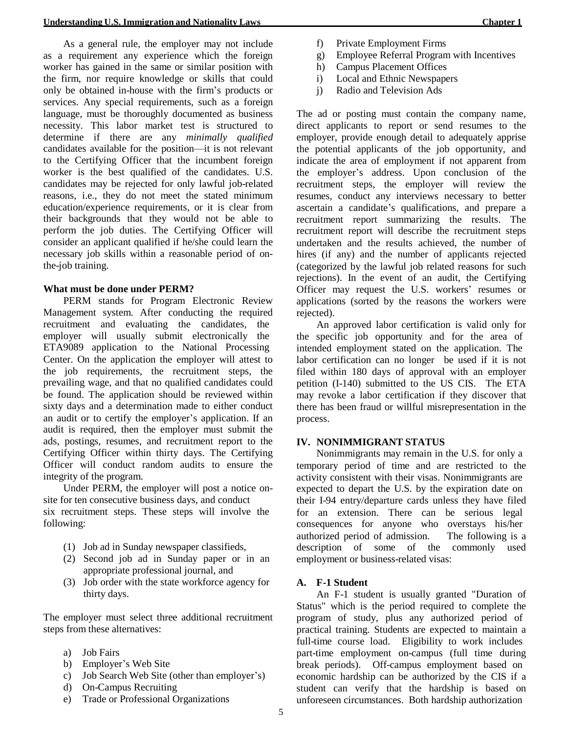As a general rule, the employer may not include as a requirement any experience which the foreign worker has gained in the same or similar position with the firm, nor require knowledge or skills that could only be obtained in-house with the firm's products or services. Any special requirements, such as a foreign language, must be thoroughly documented as business necessity. This labor market test is structured to determine if there are any *minimally qualified*  candidates available for the position—it is not relevant to the Certifying Officer that the incumbent foreign worker is the best qualified of the candidates. U.S. candidates may be rejected for only lawful job-related reasons, i.e., they do not meet the stated minimum education/experience requirements, or it is clear from their backgrounds that they would not be able to perform the job duties. The Certifying Officer will consider an applicant qualified if he/she could learn the necessary job skills within a reasonable period of onthe-job training.

#### **What must be done under PERM?**

PERM stands for Program Electronic Review Management system. After conducting the required recruitment and evaluating the candidates, the employer will usually submit electronically the ETA9089 application to the National Processing Center. On the application the employer will attest to the job requirements, the recruitment steps, the prevailing wage, and that no qualified candidates could be found. The application should be reviewed within sixty days and a determination made to either conduct an audit or to certify the employer's application. If an audit is required, then the employer must submit the ads, postings, resumes, and recruitment report to the Certifying Officer within thirty days. The Certifying Officer will conduct random audits to ensure the integrity of the program.

Under PERM, the employer will post a notice onsite for ten consecutive business days, and conduct six recruitment steps. These steps will involve the following:

- (1) Job ad in Sunday newspaper classifieds,
- (2) Second job ad in Sunday paper or in an appropriate professional journal, and
- (3) Job order with the state workforce agency for thirty days.

The employer must select three additional recruitment steps from these alternatives:

- a) Job Fairs
- b) Employer's Web Site
- c) Job Search Web Site (other than employer's)
- d) On-Campus Recruiting
- e) Trade or Professional Organizations
- f) Private Employment Firms
- g) Employee Referral Program with Incentives
- h) Campus Placement Offices
- i) Local and Ethnic Newspapers
- j) Radio and Television Ads

The ad or posting must contain the company name, direct applicants to report or send resumes to the employer, provide enough detail to adequately apprise the potential applicants of the job opportunity, and indicate the area of employment if not apparent from the employer's address. Upon conclusion of the recruitment steps, the employer will review the resumes, conduct any interviews necessary to better ascertain a candidate's qualifications, and prepare a recruitment report summarizing the results. The recruitment report will describe the recruitment steps undertaken and the results achieved, the number of hires (if any) and the number of applicants rejected (categorized by the lawful job related reasons for such rejections). In the event of an audit, the Certifying Officer may request the U.S. workers' resumes or applications (sorted by the reasons the workers were rejected).

An approved labor certification is valid only for the specific job opportunity and for the area of intended employment stated on the application. The labor certification can no longer be used if it is not filed within 180 days of approval with an employer petition (I-140) submitted to the US CIS. The ETA may revoke a labor certification if they discover that there has been fraud or willful misrepresentation in the process.

## **IV. NONIMMIGRANT STATUS**

Nonimmigrants may remain in the U.S. for only a temporary period of time and are restricted to the activity consistent with their visas. Nonimmigrants are expected to depart the U.S. by the expiration date on their I-94 entry/departure cards unless they have filed for an extension. There can be serious legal consequences for anyone who overstays his/her authorized period of admission. The following is a description of some of the commonly used employment or business-related visas:

## **A. F-1 Student**

An F-1 student is usually granted "Duration of Status" which is the period required to complete the program of study, plus any authorized period of practical training. Students are expected to maintain a full-time course load. Eligibility to work includes part-time employment on-campus (full time during break periods). Off-campus employment based on economic hardship can be authorized by the CIS if a student can verify that the hardship is based on unforeseen circumstances. Both hardship authorization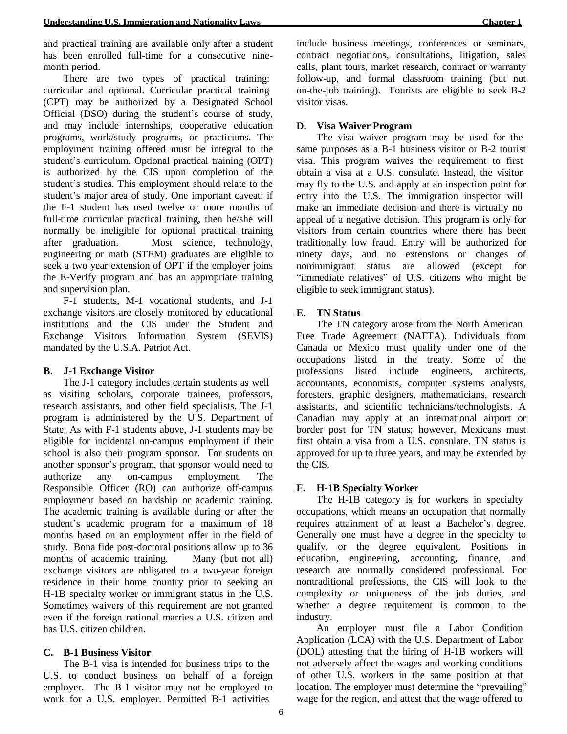and practical training are available only after a student has been enrolled full-time for a consecutive ninemonth period.

There are two types of practical training: curricular and optional. Curricular practical training (CPT) may be authorized by a Designated School Official (DSO) during the student's course of study, and may include internships, cooperative education programs, work/study programs, or practicums. The employment training offered must be integral to the student's curriculum. Optional practical training (OPT) is authorized by the CIS upon completion of the student's studies. This employment should relate to the student's major area of study. One important caveat: if the F-1 student has used twelve or more months of full-time curricular practical training, then he/she will normally be ineligible for optional practical training after graduation. Most science, technology, engineering or math (STEM) graduates are eligible to seek a two year extension of OPT if the employer joins the E-Verify program and has an appropriate training and supervision plan.

F-1 students, M-1 vocational students, and J-1 exchange visitors are closely monitored by educational institutions and the CIS under the Student and Exchange Visitors Information System (SEVIS) mandated by the U.S.A. Patriot Act.

## **B. J-1 Exchange Visitor**

The J-1 category includes certain students as well as visiting scholars, corporate trainees, professors, research assistants, and other field specialists. The J-1 program is administered by the U.S. Department of State. As with F-1 students above, J-1 students may be eligible for incidental on-campus employment if their school is also their program sponsor. For students on another sponsor's program, that sponsor would need to authorize any on-campus employment. The Responsible Officer (RO) can authorize off-campus employment based on hardship or academic training. The academic training is available during or after the student's academic program for a maximum of 18 months based on an employment offer in the field of study. Bona fide post-doctoral positions allow up to 36 months of academic training. Many (but not all) exchange visitors are obligated to a two-year foreign residence in their home country prior to seeking an H-1B specialty worker or immigrant status in the U.S. Sometimes waivers of this requirement are not granted even if the foreign national marries a U.S. citizen and has U.S. citizen children.

## **C. B-1 Business Visitor**

The B-1 visa is intended for business trips to the U.S. to conduct business on behalf of a foreign employer. The B-1 visitor may not be employed to work for a U.S. employer. Permitted B-1 activities

include business meetings, conferences or seminars, contract negotiations, consultations, litigation, sales calls, plant tours, market research, contract or warranty follow-up, and formal classroom training (but not on-the-job training). Tourists are eligible to seek B-2 visitor visas.

## **D. Visa Waiver Program**

The visa waiver program may be used for the same purposes as a B-1 business visitor or B-2 tourist visa. This program waives the requirement to first obtain a visa at a U.S. consulate. Instead, the visitor may fly to the U.S. and apply at an inspection point for entry into the U.S. The immigration inspector will make an immediate decision and there is virtually no appeal of a negative decision. This program is only for visitors from certain countries where there has been traditionally low fraud. Entry will be authorized for ninety days, and no extensions or changes of nonimmigrant status are allowed (except for "immediate relatives" of U.S. citizens who might be eligible to seek immigrant status).

## **E. TN Status**

The TN category arose from the North American Free Trade Agreement (NAFTA). Individuals from Canada or Mexico must qualify under one of the occupations listed in the treaty. Some of the professions listed include engineers, architects, accountants, economists, computer systems analysts, foresters, graphic designers, mathematicians, research assistants, and scientific technicians/technologists. A Canadian may apply at an international airport or border post for TN status; however, Mexicans must first obtain a visa from a U.S. consulate. TN status is approved for up to three years, and may be extended by the CIS.

## **F. H-1B Specialty Worker**

The H-1B category is for workers in specialty occupations, which means an occupation that normally requires attainment of at least a Bachelor's degree. Generally one must have a degree in the specialty to qualify, or the degree equivalent. Positions in education, engineering, accounting, finance, and research are normally considered professional. For nontraditional professions, the CIS will look to the complexity or uniqueness of the job duties, and whether a degree requirement is common to the industry.

An employer must file a Labor Condition Application (LCA) with the U.S. Department of Labor (DOL) attesting that the hiring of H-1B workers will not adversely affect the wages and working conditions of other U.S. workers in the same position at that location. The employer must determine the "prevailing" wage for the region, and attest that the wage offered to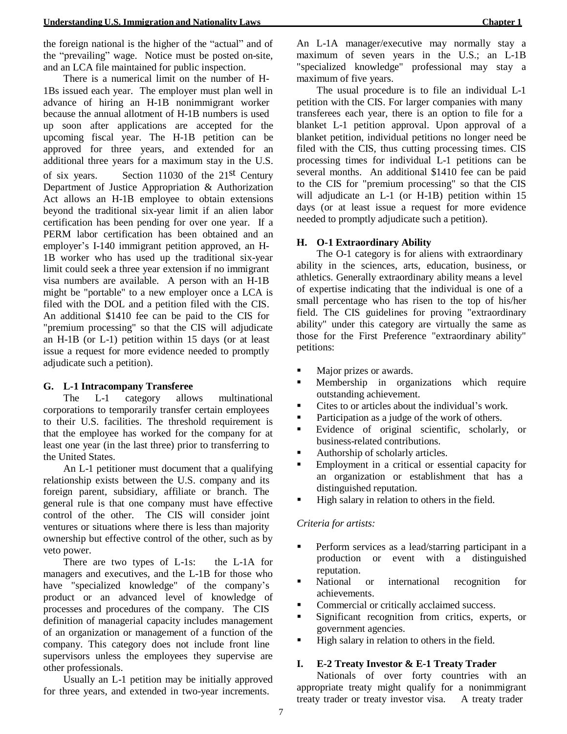the foreign national is the higher of the "actual" and of the "prevailing" wage. Notice must be posted on-site, and an LCA file maintained for public inspection.

There is a numerical limit on the number of H-1Bs issued each year. The employer must plan well in advance of hiring an H-1B nonimmigrant worker because the annual allotment of H-1B numbers is used up soon after applications are accepted for the upcoming fiscal year. The H-1B petition can be approved for three years, and extended for an additional three years for a maximum stay in the U.S. of six years. Section 11030 of the 21st Century Department of Justice Appropriation & Authorization Act allows an H-1B employee to obtain extensions beyond the traditional six-year limit if an alien labor certification has been pending for over one year. If a PERM labor certification has been obtained and an employer's I-140 immigrant petition approved, an H-1B worker who has used up the traditional six-year limit could seek a three year extension if no immigrant visa numbers are available. A person with an H-1B might be "portable" to a new employer once a LCA is filed with the DOL and a petition filed with the CIS. An additional \$1410 fee can be paid to the CIS for "premium processing" so that the CIS will adjudicate an H-1B (or L-1) petition within 15 days (or at least issue a request for more evidence needed to promptly adjudicate such a petition).

#### **G. L-1 Intracompany Transferee**

The L-1 category allows multinational corporations to temporarily transfer certain employees to their U.S. facilities. The threshold requirement is that the employee has worked for the company for at least one year (in the last three) prior to transferring to the United States.

An L-1 petitioner must document that a qualifying relationship exists between the U.S. company and its foreign parent, subsidiary, affiliate or branch. The general rule is that one company must have effective control of the other. The CIS will consider joint ventures or situations where there is less than majority ownership but effective control of the other, such as by veto power.

There are two types of L-1s: the L-1A for managers and executives, and the L-1B for those who have "specialized knowledge" of the company's product or an advanced level of knowledge of processes and procedures of the company. The CIS definition of managerial capacity includes management of an organization or management of a function of the company. This category does not include front line supervisors unless the employees they supervise are other professionals.

Usually an L-1 petition may be initially approved for three years, and extended in two-year increments.

An L-1A manager/executive may normally stay a maximum of seven years in the U.S.; an L-1B "specialized knowledge" professional may stay a maximum of five years.

The usual procedure is to file an individual L-1 petition with the CIS. For larger companies with many transferees each year, there is an option to file for a blanket L-1 petition approval. Upon approval of a blanket petition, individual petitions no longer need be filed with the CIS, thus cutting processing times. CIS processing times for individual L-1 petitions can be several months. An additional \$1410 fee can be paid to the CIS for "premium processing" so that the CIS will adjudicate an L-1 (or H-1B) petition within 15 days (or at least issue a request for more evidence needed to promptly adjudicate such a petition).

## **H. O-1 Extraordinary Ability**

The O-1 category is for aliens with extraordinary ability in the sciences, arts, education, business, or athletics. Generally extraordinary ability means a level of expertise indicating that the individual is one of a small percentage who has risen to the top of his/her field. The CIS guidelines for proving "extraordinary ability" under this category are virtually the same as those for the First Preference "extraordinary ability" petitions:

- Major prizes or awards.
- Membership in organizations which require outstanding achievement.
- Cites to or articles about the individual's work.
- Participation as a judge of the work of others.
- Evidence of original scientific, scholarly, or business-related contributions.
- Authorship of scholarly articles.
- Employment in a critical or essential capacity for an organization or establishment that has a distinguished reputation.
- High salary in relation to others in the field.

## *Criteria for artists:*

- Perform services as a lead/starring participant in a production or event with a distinguished reputation.
- National or international recognition for achievements.
- Commercial or critically acclaimed success.
- Significant recognition from critics, experts, or government agencies.
- High salary in relation to others in the field.

## **I. E-2 Treaty Investor & E-1 Treaty Trader**

Nationals of over forty countries with an appropriate treaty might qualify for a nonimmigrant treaty trader or treaty investor visa. A treaty trader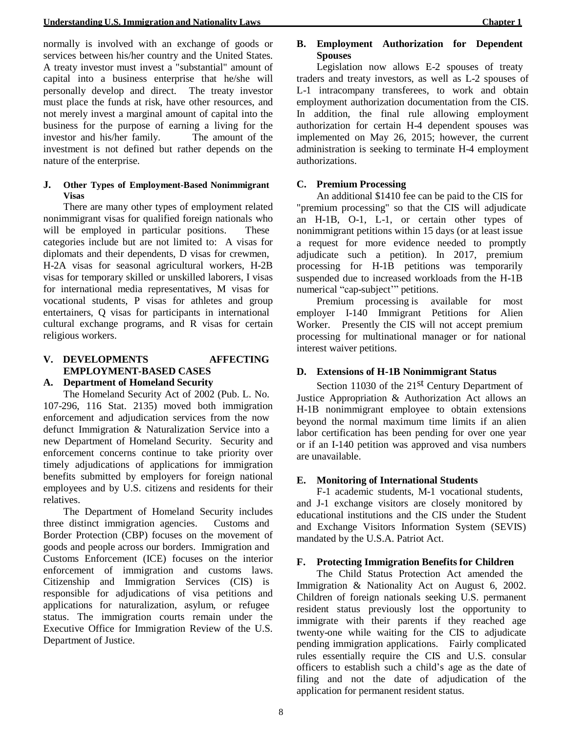normally is involved with an exchange of goods or services between his/her country and the United States. A treaty investor must invest a "substantial" amount of capital into a business enterprise that he/she will personally develop and direct. The treaty investor must place the funds at risk, have other resources, and not merely invest a marginal amount of capital into the business for the purpose of earning a living for the investor and his/her family. The amount of the investment is not defined but rather depends on the nature of the enterprise.

#### **J. Other Types of Employment-Based Nonimmigrant Visas**

There are many other types of employment related nonimmigrant visas for qualified foreign nationals who will be employed in particular positions. These categories include but are not limited to: A visas for diplomats and their dependents, D visas for crewmen, H-2A visas for seasonal agricultural workers, H-2B visas for temporary skilled or unskilled laborers, I visas for international media representatives, M visas for vocational students, P visas for athletes and group entertainers, Q visas for participants in international cultural exchange programs, and R visas for certain religious workers.

#### **V. DEVELOPMENTS AFFECTING EMPLOYMENT-BASED CASES A. Department of Homeland Security**

The Homeland Security Act of 2002 (Pub. L. No. 107-296, 116 Stat. 2135) moved both immigration enforcement and adjudication services from the now defunct Immigration & Naturalization Service into a new Department of Homeland Security. Security and enforcement concerns continue to take priority over timely adjudications of applications for immigration benefits submitted by employers for foreign national employees and by U.S. citizens and residents for their relatives.

The Department of Homeland Security includes three distinct immigration agencies. Customs and Border Protection (CBP) focuses on the movement of goods and people across our borders. Immigration and Customs Enforcement (ICE) focuses on the interior enforcement of immigration and customs laws. Citizenship and Immigration Services (CIS) is responsible for adjudications of visa petitions and applications for naturalization, asylum, or refugee status. The immigration courts remain under the Executive Office for Immigration Review of the U.S. Department of Justice.

## **B. Employment Authorization for Dependent Spouses**

Legislation now allows E-2 spouses of treaty traders and treaty investors, as well as L-2 spouses of L-1 intracompany transferees, to work and obtain employment authorization documentation from the CIS. In addition, the final rule allowing employment authorization for certain H-4 dependent spouses was implemented on May 26, 2015; however, the current administration is seeking to terminate H-4 employment authorizations.

# **C. Premium Processing**

An additional \$1410 fee can be paid to the CIS for "premium processing" so that the CIS will adjudicate an H-1B, O-1, L-1, or certain other types of nonimmigrant petitions within 15 days (or at least issue a request for more evidence needed to promptly adjudicate such a petition). In 2017, premium processing for H-1B petitions was temporarily suspended due to increased workloads from the H-1B numerical "cap-subject'" petitions.

Premium processing is available for most employer I-140 Immigrant Petitions for Alien Worker. Presently the CIS will not accept premium processing for multinational manager or for national interest waiver petitions.

# **D. Extensions of H-1B Nonimmigrant Status**

Section 11030 of the 21<sup>st</sup> Century Department of Justice Appropriation & Authorization Act allows an H-1B nonimmigrant employee to obtain extensions beyond the normal maximum time limits if an alien labor certification has been pending for over one year or if an I-140 petition was approved and visa numbers are unavailable.

## **E. Monitoring of International Students**

F-1 academic students, M-1 vocational students, and J-1 exchange visitors are closely monitored by educational institutions and the CIS under the Student and Exchange Visitors Information System (SEVIS) mandated by the U.S.A. Patriot Act.

## **F. Protecting Immigration Benefits for Children**

The Child Status Protection Act amended the Immigration & Nationality Act on August 6, 2002. Children of foreign nationals seeking U.S. permanent resident status previously lost the opportunity to immigrate with their parents if they reached age twenty-one while waiting for the CIS to adjudicate pending immigration applications. Fairly complicated rules essentially require the CIS and U.S. consular officers to establish such a child's age as the date of filing and not the date of adjudication of the application for permanent resident status.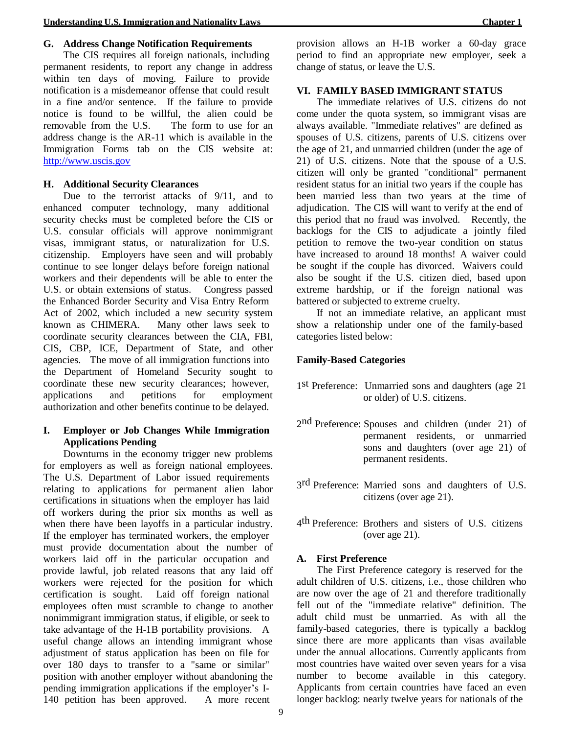## **G. Address Change Notification Requirements**

The CIS requires all foreign nationals, including permanent residents, to report any change in address within ten days of moving. Failure to provide notification is a misdemeanor offense that could result in a fine and/or sentence. If the failure to provide notice is found to be willful, the alien could be removable from the U.S. The form to use for an address change is the AR-11 which is available in the Immigration Forms tab on the CIS website at: [http://www.uscis.gov](http://www.uscis.gov/)

#### **H. Additional Security Clearances**

Due to the terrorist attacks of  $9/11$ , and to enhanced computer technology, many additional security checks must be completed before the CIS or U.S. consular officials will approve nonimmigrant visas, immigrant status, or naturalization for U.S. citizenship. Employers have seen and will probably continue to see longer delays before foreign national workers and their dependents will be able to enter the U.S. or obtain extensions of status. Congress passed the Enhanced Border Security and Visa Entry Reform Act of 2002, which included a new security system known as CHIMERA. Many other laws seek to coordinate security clearances between the CIA, FBI, CIS, CBP, ICE, Department of State, and other agencies. The move of all immigration functions into the Department of Homeland Security sought to coordinate these new security clearances; however, applications and petitions for employment authorization and other benefits continue to be delayed.

## **I. Employer or Job Changes While Immigration Applications Pending**

Downturns in the economy trigger new problems for employers as well as foreign national employees. The U.S. Department of Labor issued requirements relating to applications for permanent alien labor certifications in situations when the employer has laid off workers during the prior six months as well as when there have been layoffs in a particular industry. If the employer has terminated workers, the employer must provide documentation about the number of workers laid off in the particular occupation and provide lawful, job related reasons that any laid off workers were rejected for the position for which certification is sought. Laid off foreign national employees often must scramble to change to another nonimmigrant immigration status, if eligible, or seek to take advantage of the H-1B portability provisions. A useful change allows an intending immigrant whose adjustment of status application has been on file for over 180 days to transfer to a "same or similar" position with another employer without abandoning the pending immigration applications if the employer's I-140 petition has been approved. A more recent

provision allows an H-1B worker a 60-day grace period to find an appropriate new employer, seek a change of status, or leave the U.S.

#### **VI. FAMILY BASED IMMIGRANT STATUS**

The immediate relatives of U.S. citizens do not come under the quota system, so immigrant visas are always available. "Immediate relatives" are defined as spouses of U.S. citizens, parents of U.S. citizens over the age of 21, and unmarried children (under the age of 21) of U.S. citizens. Note that the spouse of a U.S. citizen will only be granted "conditional" permanent resident status for an initial two years if the couple has been married less than two years at the time of adjudication. The CIS will want to verify at the end of this period that no fraud was involved. Recently, the backlogs for the CIS to adjudicate a jointly filed petition to remove the two-year condition on status have increased to around 18 months! A waiver could be sought if the couple has divorced. Waivers could also be sought if the U.S. citizen died, based upon extreme hardship, or if the foreign national was battered or subjected to extreme cruelty.

If not an immediate relative, an applicant must show a relationship under one of the family-based categories listed below:

## **Family-Based Categories**

- 1 st Preference: Unmarried sons and daughters (age 21 or older) of U.S. citizens.
- 2 nd Preference: Spouses and children (under 21) of permanent residents, or unmarried sons and daughters (over age 21) of permanent residents.
- 3<sup>rd</sup> Preference: Married sons and daughters of U.S. citizens (over age 21).
- 4 th Preference: Brothers and sisters of U.S. citizens (over age 21).

#### **A. First Preference**

The First Preference category is reserved for the adult children of U.S. citizens, i.e., those children who are now over the age of 21 and therefore traditionally fell out of the "immediate relative" definition. The adult child must be unmarried. As with all the family-based categories, there is typically a backlog since there are more applicants than visas available under the annual allocations. Currently applicants from most countries have waited over seven years for a visa number to become available in this category. Applicants from certain countries have faced an even longer backlog: nearly twelve years for nationals of the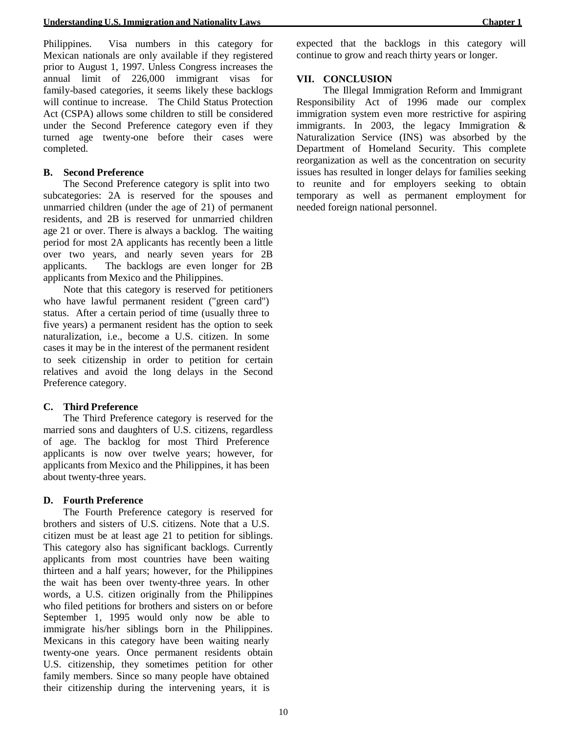Philippines. Visa numbers in this category for Mexican nationals are only available if they registered prior to August 1, 1997. Unless Congress increases the annual limit of 226,000 immigrant visas for family-based categories, it seems likely these backlogs will continue to increase. The Child Status Protection Act (CSPA) allows some children to still be considered under the Second Preference category even if they turned age twenty-one before their cases were completed.

#### **B. Second Preference**

The Second Preference category is split into two subcategories: 2A is reserved for the spouses and unmarried children (under the age of 21) of permanent residents, and 2B is reserved for unmarried children age 21 or over. There is always a backlog. The waiting period for most 2A applicants has recently been a little over two years, and nearly seven years for 2B applicants. The backlogs are even longer for 2B applicants from Mexico and the Philippines.

Note that this category is reserved for petitioners who have lawful permanent resident ("green card") status. After a certain period of time (usually three to five years) a permanent resident has the option to seek naturalization, i.e., become a U.S. citizen. In some cases it may be in the interest of the permanent resident to seek citizenship in order to petition for certain relatives and avoid the long delays in the Second Preference category.

## **C. Third Preference**

The Third Preference category is reserved for the married sons and daughters of U.S. citizens, regardless of age. The backlog for most Third Preference applicants is now over twelve years; however, for applicants from Mexico and the Philippines, it has been about twenty-three years.

#### **D. Fourth Preference**

The Fourth Preference category is reserved for brothers and sisters of U.S. citizens. Note that a U.S. citizen must be at least age 21 to petition for siblings. This category also has significant backlogs. Currently applicants from most countries have been waiting thirteen and a half years; however, for the Philippines the wait has been over twenty-three years. In other words, a U.S. citizen originally from the Philippines who filed petitions for brothers and sisters on or before September 1, 1995 would only now be able to immigrate his/her siblings born in the Philippines. Mexicans in this category have been waiting nearly twenty-one years. Once permanent residents obtain U.S. citizenship, they sometimes petition for other family members. Since so many people have obtained their citizenship during the intervening years, it is

expected that the backlogs in this category will continue to grow and reach thirty years or longer.

## **VII. CONCLUSION**

The Illegal Immigration Reform and Immigrant Responsibility Act of 1996 made our complex immigration system even more restrictive for aspiring immigrants. In 2003, the legacy Immigration & Naturalization Service (INS) was absorbed by the Department of Homeland Security. This complete reorganization as well as the concentration on security issues has resulted in longer delays for families seeking to reunite and for employers seeking to obtain temporary as well as permanent employment for needed foreign national personnel.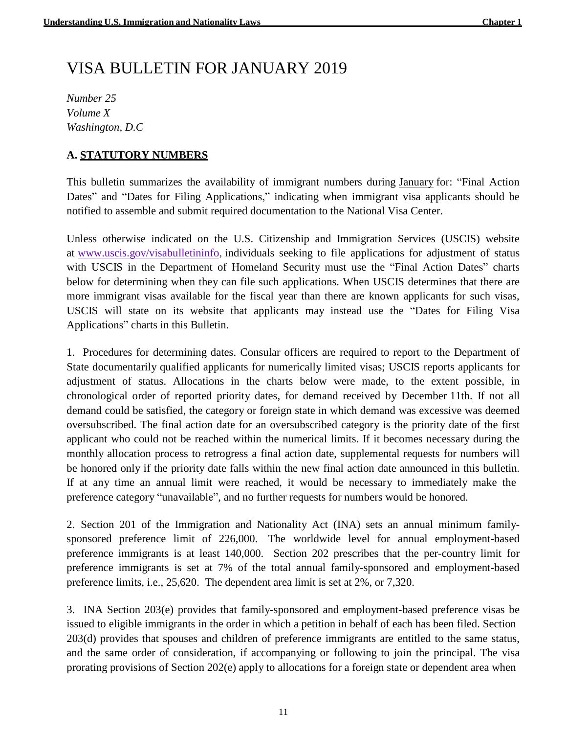# VISA BULLETIN FOR JANUARY 2019

*Number 25 Volume X Washington, D.C*

# **A. STATUTORY NUMBERS**

This bulletin summarizes the availability of immigrant numbers during January for: "Final Action Dates" and "Dates for Filing Applications," indicating when immigrant visa applicants should be notified to assemble and submit required documentation to the National Visa Center.

Unless otherwise indicated on the U.S. Citizenship and Immigration Services (USCIS) website at [www.uscis.gov/visabulletininfo,](https://travel.state.gov/content/travel/en/legal/visa-law0/visa-bulletin/2019/visa-bulletin-for-january-2019.html#ExternalPopup) individuals seeking to file applications for adjustment of status with USCIS in the Department of Homeland Security must use the "Final Action Dates" charts below for determining when they can file such applications. When USCIS determines that there are more immigrant visas available for the fiscal year than there are known applicants for such visas, USCIS will state on its website that applicants may instead use the "Dates for Filing Visa Applications" charts in this Bulletin.

1. Procedures for determining dates. Consular officers are required to report to the Department of State documentarily qualified applicants for numerically limited visas; USCIS reports applicants for adjustment of status. Allocations in the charts below were made, to the extent possible, in chronological order of reported priority dates, for demand received by December 11th. If not all demand could be satisfied, the category or foreign state in which demand was excessive was deemed oversubscribed. The final action date for an oversubscribed category is the priority date of the first applicant who could not be reached within the numerical limits. If it becomes necessary during the monthly allocation process to retrogress a final action date, supplemental requests for numbers will be honored only if the priority date falls within the new final action date announced in this bulletin. If at any time an annual limit were reached, it would be necessary to immediately make the preference category "unavailable", and no further requests for numbers would be honored.

2. Section 201 of the Immigration and Nationality Act (INA) sets an annual minimum familysponsored preference limit of 226,000. The worldwide level for annual employment-based preference immigrants is at least 140,000. Section 202 prescribes that the per-country limit for preference immigrants is set at 7% of the total annual family-sponsored and employment-based preference limits, i.e., 25,620. The dependent area limit is set at 2%, or 7,320.

3. INA Section 203(e) provides that family-sponsored and employment-based preference visas be issued to eligible immigrants in the order in which a petition in behalf of each has been filed. Section 203(d) provides that spouses and children of preference immigrants are entitled to the same status, and the same order of consideration, if accompanying or following to join the principal. The visa prorating provisions of Section 202(e) apply to allocations for a foreign state or dependent area when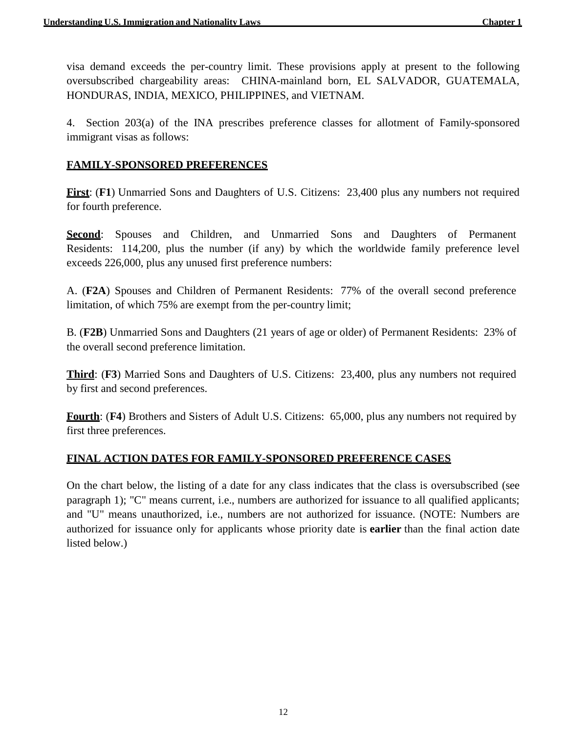visa demand exceeds the per-country limit. These provisions apply at present to the following oversubscribed chargeability areas: CHINA-mainland born, EL SALVADOR, GUATEMALA, HONDURAS, INDIA, MEXICO, PHILIPPINES, and VIETNAM.

4. Section 203(a) of the INA prescribes preference classes for allotment of Family-sponsored immigrant visas as follows:

# **FAMILY-SPONSORED PREFERENCES**

**First**: (**F1**) Unmarried Sons and Daughters of U.S. Citizens: 23,400 plus any numbers not required for fourth preference.

**Second:** Spouses and Children, and Unmarried Sons and Daughters of Permanent Residents: 114,200, plus the number (if any) by which the worldwide family preference level exceeds 226,000, plus any unused first preference numbers:

A. (**F2A**) Spouses and Children of Permanent Residents: 77% of the overall second preference limitation, of which 75% are exempt from the per-country limit;

B. (**F2B**) Unmarried Sons and Daughters (21 years of age or older) of Permanent Residents: 23% of the overall second preference limitation.

**Third**: (**F3**) Married Sons and Daughters of U.S. Citizens: 23,400, plus any numbers not required by first and second preferences.

**Fourth**: (**F4**) Brothers and Sisters of Adult U.S. Citizens: 65,000, plus any numbers not required by first three preferences.

# **FINAL ACTION DATES FOR FAMILY-SPONSORED PREFERENCE CASES**

On the chart below, the listing of a date for any class indicates that the class is oversubscribed (see paragraph 1); "C" means current, i.e., numbers are authorized for issuance to all qualified applicants; and "U" means unauthorized, i.e., numbers are not authorized for issuance. (NOTE: Numbers are authorized for issuance only for applicants whose priority date is **earlier** than the final action date listed below.)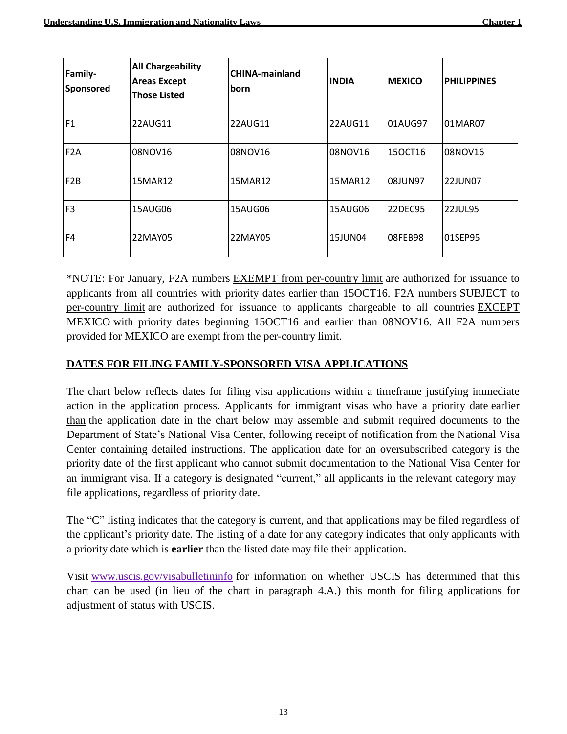| <b>Family-</b><br>Sponsored | <b>All Chargeability</b><br><b>Areas Except</b><br><b>Those Listed</b> | <b>CHINA-mainland</b><br><b>born</b> | <b>INDIA</b> | <b>MEXICO</b> | <b>PHILIPPINES</b> |
|-----------------------------|------------------------------------------------------------------------|--------------------------------------|--------------|---------------|--------------------|
| F1                          | 22AUG11                                                                | 22AUG11                              | 22AUG11      | 01AUG97       | 01MAR07            |
| F <sub>2</sub> A            | 08NOV16                                                                | 08NOV16                              | 08NOV16      | 150CT16       | 08NOV16            |
| F <sub>2</sub> B            | 15MAR12                                                                | 15MAR12                              | 15MAR12      | 08JUN97       | 22JUN07            |
| F <sub>3</sub>              | 15AUG06                                                                | 15AUG06                              | 15AUG06      | 22DEC95       | <b>22JUL95</b>     |
| F <sub>4</sub>              | 22MAY05                                                                | 22MAY05                              | 15JUN04      | 08FEB98       | 01SEP95            |

\*NOTE: For January, F2A numbers EXEMPT from per-country limit are authorized for issuance to applicants from all countries with priority dates earlier than 15OCT16. F2A numbers SUBJECT to per-country limit are authorized for issuance to applicants chargeable to all countries EXCEPT MEXICO with priority dates beginning 15OCT16 and earlier than 08NOV16. All F2A numbers provided for MEXICO are exempt from the per-country limit.

# **DATES FOR FILING FAMILY-SPONSORED VISA APPLICATIONS**

The chart below reflects dates for filing visa applications within a timeframe justifying immediate action in the application process. Applicants for immigrant visas who have a priority date earlier than the application date in the chart below may assemble and submit required documents to the Department of State's National Visa Center, following receipt of notification from the National Visa Center containing detailed instructions. The application date for an oversubscribed category is the priority date of the first applicant who cannot submit documentation to the National Visa Center for an immigrant visa. If a category is designated "current," all applicants in the relevant category may file applications, regardless of priority date.

The "C" listing indicates that the category is current, and that applications may be filed regardless of the applicant's priority date. The listing of a date for any category indicates that only applicants with a priority date which is **earlier** than the listed date may file their application.

Visit [www.uscis.gov/visabulletininfo](https://travel.state.gov/content/travel/en/legal/visa-law0/visa-bulletin/2019/visa-bulletin-for-january-2019.html#ExternalPopup) for information on whether USCIS has determined that this chart can be used (in lieu of the chart in paragraph 4.A.) this month for filing applications for adjustment of status with USCIS.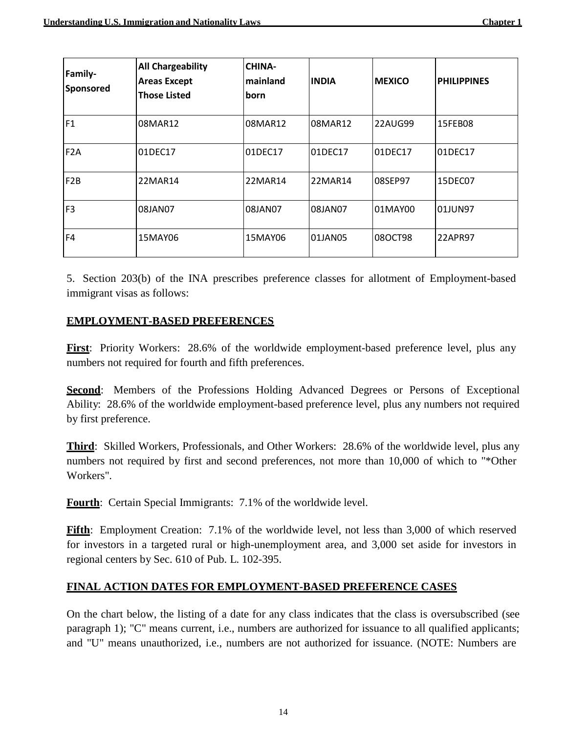| <b>Family-</b><br>Sponsored | <b>All Chargeability</b><br><b>Areas Except</b><br><b>Those Listed</b> | <b>CHINA-</b><br>mainland<br>born | <b>INDIA</b> | <b>MEXICO</b> | <b>PHILIPPINES</b> |
|-----------------------------|------------------------------------------------------------------------|-----------------------------------|--------------|---------------|--------------------|
| F1                          | 08MAR12                                                                | 08MAR12                           | 08MAR12      | 22AUG99       | 15FEB08            |
| F <sub>2</sub> A            | 01DEC17                                                                | 01DEC17                           | 01DEC17      | 01DEC17       | 01DEC17            |
| F <sub>2</sub> B            | 22MAR14                                                                | 22MAR14                           | 22MAR14      | 08SEP97       | 15DEC07            |
| F <sub>3</sub>              | 08JAN07                                                                | 08JAN07                           | 08JAN07      | 01MAY00       | 01JUN97            |
| F <sub>4</sub>              | 15MAY06                                                                | 15MAY06                           | 01JAN05      | 08OCT98       | 22APR97            |

5. Section 203(b) of the INA prescribes preference classes for allotment of Employment-based immigrant visas as follows:

# **EMPLOYMENT-BASED PREFERENCES**

**First**: Priority Workers: 28.6% of the worldwide employment-based preference level, plus any numbers not required for fourth and fifth preferences.

**Second:** Members of the Professions Holding Advanced Degrees or Persons of Exceptional Ability: 28.6% of the worldwide employment-based preference level, plus any numbers not required by first preference.

**Third**: Skilled Workers, Professionals, and Other Workers: 28.6% of the worldwide level, plus any numbers not required by first and second preferences, not more than 10,000 of which to "\*Other Workers".

**Fourth**: Certain Special Immigrants: 7.1% of the worldwide level.

**Fifth**: Employment Creation: 7.1% of the worldwide level, not less than 3,000 of which reserved for investors in a targeted rural or high-unemployment area, and 3,000 set aside for investors in regional centers by Sec. 610 of Pub. L. 102-395.

# **FINAL ACTION DATES FOR EMPLOYMENT-BASED PREFERENCE CASES**

On the chart below, the listing of a date for any class indicates that the class is oversubscribed (see paragraph 1); "C" means current, i.e., numbers are authorized for issuance to all qualified applicants; and "U" means unauthorized, i.e., numbers are not authorized for issuance. (NOTE: Numbers are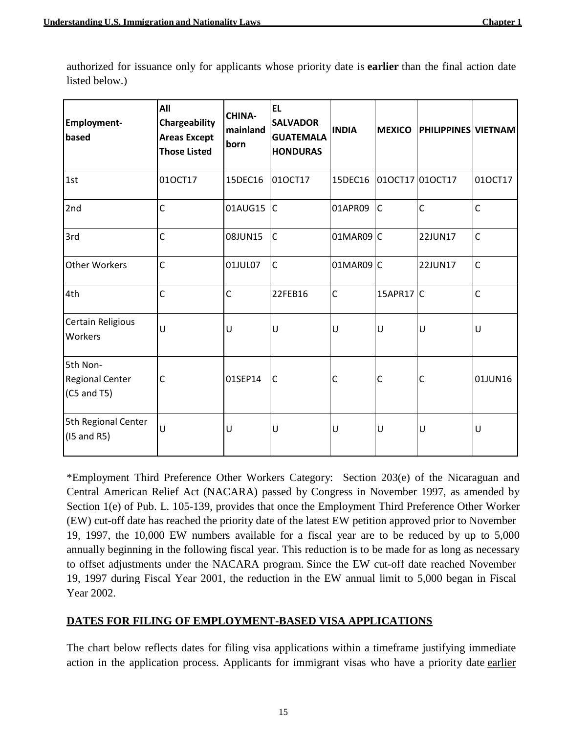| <b>Employment-</b><br>based                         | All<br>Chargeability<br><b>Areas Except</b><br><b>Those Listed</b> | <b>CHINA-</b><br>mainland<br>born | <b>EL</b><br><b>SALVADOR</b><br><b>GUATEMALA</b><br><b>HONDURAS</b> | <b>INDIA</b> | <b>MEXICO</b> | <b>PHILIPPINES VIETNAM</b> |              |
|-----------------------------------------------------|--------------------------------------------------------------------|-----------------------------------|---------------------------------------------------------------------|--------------|---------------|----------------------------|--------------|
| 1st                                                 | 010CT17                                                            | 15DEC16                           | 010CT17                                                             | 15DEC16      |               | 010CT17 010CT17            | 010CT17      |
| 2nd                                                 | $\mathsf{C}$                                                       | 01AUG15                           | $\mathsf{C}$                                                        | 01APR09      | $\mathsf{C}$  | $\mathsf{C}$               | $\mathsf{C}$ |
| 3rd                                                 | $\mathsf{C}$                                                       | 08JUN15                           | $\mathsf{C}$                                                        | $01MARO9$ C  |               | 22JUN17                    | $\mathsf{C}$ |
| <b>Other Workers</b>                                | $\mathsf{C}$                                                       | 01JUL07                           | $\mathsf{C}$                                                        | 01MAR09 C    |               | 22JUN17                    | $\mathsf{C}$ |
| 4th                                                 | $\mathsf{C}$                                                       | $\mathsf{C}$                      | 22FEB16                                                             | $\mathsf{C}$ | $15$ APR17 C  |                            | $\mathsf{C}$ |
| Certain Religious<br>Workers                        | U                                                                  | U                                 | U                                                                   | U            | U             | U                          | U            |
| 5th Non-<br><b>Regional Center</b><br>$(C5$ and T5) | C                                                                  | 01SEP14                           | $\mathsf C$                                                         | C            | C             | C                          | 01JUN16      |
| 5th Regional Center<br>$(15$ and R5)                | U                                                                  | U                                 | U                                                                   | $\cup$       | U             | U                          | U            |

authorized for issuance only for applicants whose priority date is **earlier** than the final action date listed below.)

\*Employment Third Preference Other Workers Category: Section 203(e) of the Nicaraguan and Central American Relief Act (NACARA) passed by Congress in November 1997, as amended by Section 1(e) of Pub. L. 105-139, provides that once the Employment Third Preference Other Worker (EW) cut-off date has reached the priority date of the latest EW petition approved prior to November 19, 1997, the 10,000 EW numbers available for a fiscal year are to be reduced by up to 5,000 annually beginning in the following fiscal year. This reduction is to be made for as long as necessary to offset adjustments under the NACARA program. Since the EW cut-off date reached November 19, 1997 during Fiscal Year 2001, the reduction in the EW annual limit to 5,000 began in Fiscal Year 2002.

# **DATES FOR FILING OF EMPLOYMENT-BASED VISA APPLICATIONS**

The chart below reflects dates for filing visa applications within a timeframe justifying immediate action in the application process. Applicants for immigrant visas who have a priority date earlier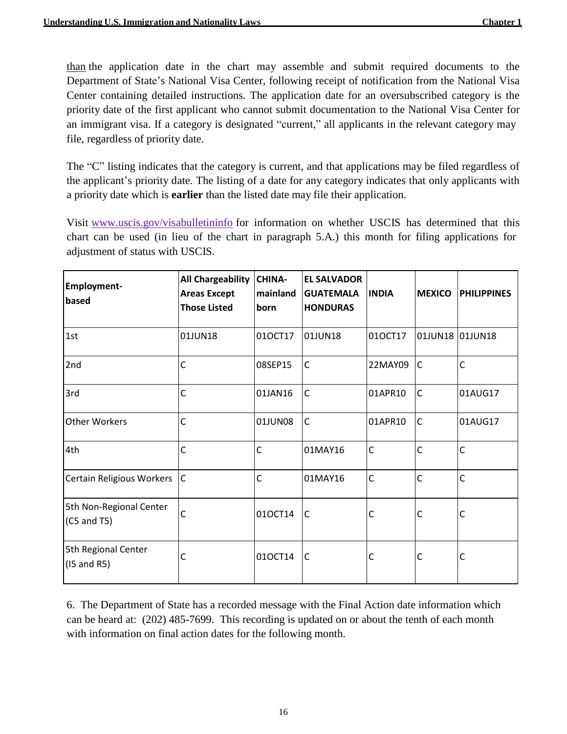than the application date in the chart may assemble and submit required documents to the Department of State's National Visa Center, following receipt of notification from the National Visa Center containing detailed instructions. The application date for an oversubscribed category is the priority date of the first applicant who cannot submit documentation to the National Visa Center for an immigrant visa. If a category is designated "current," all applicants in the relevant category may file, regardless of priority date.

The "C" listing indicates that the category is current, and that applications may be filed regardless of the applicant's priority date. The listing of a date for any category indicates that only applicants with a priority date which is **earlier** than the listed date may file their application.

Visit [www.uscis.gov/visabulletininfo](https://travel.state.gov/content/travel/en/legal/visa-law0/visa-bulletin/2019/visa-bulletin-for-january-2019.html#ExternalPopup) for information on whether USCIS has determined that this chart can be used (in lieu of the chart in paragraph 5.A.) this month for filing applications for adjustment of status with USCIS.

| <b>Employment-</b><br>based              | <b>All Chargeability</b><br><b>Areas Except</b><br><b>Those Listed</b> | <b>CHINA-</b><br>mainland<br>born | <b>EL SALVADOR</b><br><b>GUATEMALA</b><br><b>HONDURAS</b> | <b>INDIA</b> | <b>MEXICO</b>   | <b>PHILIPPINES</b> |
|------------------------------------------|------------------------------------------------------------------------|-----------------------------------|-----------------------------------------------------------|--------------|-----------------|--------------------|
| 1st                                      | 01JUN18                                                                | 010CT17                           | 01JUN18                                                   | 010CT17      | 01JUN18 01JUN18 |                    |
| 2nd                                      | $\mathsf{C}$                                                           | 08SEP15                           | $\overline{C}$                                            | 22MAY09      | $\mathsf{C}$    | $\mathsf{C}$       |
| 3rd                                      | $\mathsf{C}$                                                           | 01JAN16                           | $\mathsf C$                                               | 01APR10      | $\mathsf{C}$    | 01AUG17            |
| <b>Other Workers</b>                     | $\mathsf{C}$                                                           | 01JUN08                           | $\mathsf{C}$                                              | 01APR10      | $\mathsf{C}$    | 01AUG17            |
| 4th                                      | $\mathsf{C}$                                                           | $\mathsf{C}$                      | 01MAY16                                                   | $\mathsf{C}$ | $\mathsf{C}$    | $\mathsf{C}$       |
| Certain Religious Workers                | $\overline{\mathsf{C}}$                                                | $\mathsf{C}$                      | 01MAY16                                                   | $\mathsf{C}$ | $\mathsf{C}$    | $\mathsf{C}$       |
| 5th Non-Regional Center<br>$(C5$ and T5) | $\mathsf{C}$                                                           | 010CT14                           | $\overline{\mathsf{C}}$                                   | $\mathsf{C}$ | C               | $\mathsf{C}$       |
| 5th Regional Center<br>$(15$ and R5)     | $\mathsf{C}$                                                           | 010CT14                           | $\mathsf{C}$                                              | $\mathsf{C}$ | $\mathsf{C}$    | $\mathsf{C}$       |

6. The Department of State has a recorded message with the Final Action date information which can be heard at: (202) 485-7699. This recording is updated on or about the tenth of each month with information on final action dates for the following month.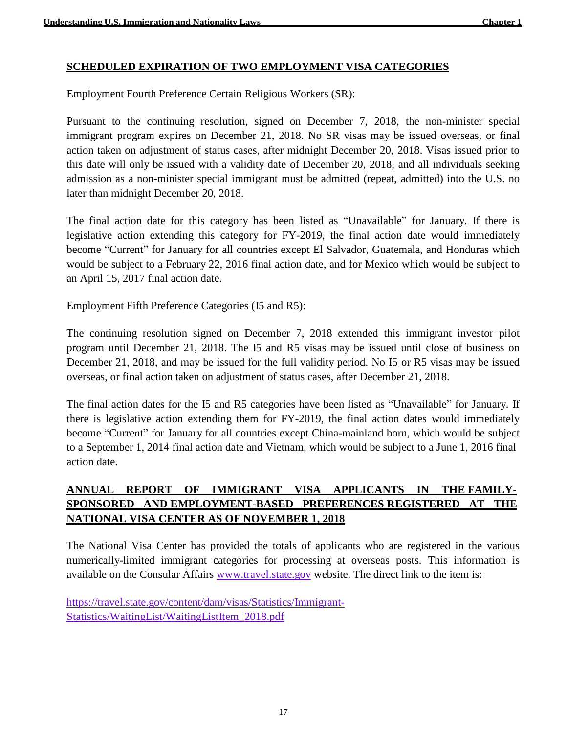# **SCHEDULED EXPIRATION OF TWO EMPLOYMENT VISA CATEGORIES**

Employment Fourth Preference Certain Religious Workers (SR):

Pursuant to the continuing resolution, signed on December 7, 2018, the non-minister special immigrant program expires on December 21, 2018. No SR visas may be issued overseas, or final action taken on adjustment of status cases, after midnight December 20, 2018. Visas issued prior to this date will only be issued with a validity date of December 20, 2018, and all individuals seeking admission as a non-minister special immigrant must be admitted (repeat, admitted) into the U.S. no later than midnight December 20, 2018.

The final action date for this category has been listed as "Unavailable" for January. If there is legislative action extending this category for FY-2019, the final action date would immediately become "Current" for January for all countries except El Salvador, Guatemala, and Honduras which would be subject to a February 22, 2016 final action date, and for Mexico which would be subject to an April 15, 2017 final action date.

Employment Fifth Preference Categories (I5 and R5):

The continuing resolution signed on December 7, 2018 extended this immigrant investor pilot program until December 21, 2018. The I5 and R5 visas may be issued until close of business on December 21, 2018, and may be issued for the full validity period. No I5 or R5 visas may be issued overseas, or final action taken on adjustment of status cases, after December 21, 2018.

The final action dates for the I5 and R5 categories have been listed as "Unavailable" for January. If there is legislative action extending them for FY-2019, the final action dates would immediately become "Current" for January for all countries except China-mainland born, which would be subject to a September 1, 2014 final action date and Vietnam, which would be subject to a June 1, 2016 final action date.

# **ANNUAL REPORT OF IMMIGRANT VISA APPLICANTS IN THE FAMILY-SPONSORED AND EMPLOYMENT-BASED PREFERENCES REGISTERED AT THE NATIONAL VISA CENTER AS OF NOVEMBER 1, 2018**

The National Visa Center has provided the totals of applicants who are registered in the various numerically-limited immigrant categories for processing at overseas posts. This information is available on the Consular Affairs [www.travel.state.gov](https://travel.state.gov/content/travel.html) website. The direct link to the item is:

[https://travel.state.gov/content/dam/visas/Statistics/Immigrant-](https://travel.state.gov/content/dam/visas/Statistics/Immigrant-Statistics/WaitingList/WaitingListItem_2018.pdf)[Statistics/WaitingList/WaitingListItem\\_2018.pdf](https://travel.state.gov/content/dam/visas/Statistics/Immigrant-Statistics/WaitingList/WaitingListItem_2018.pdf)